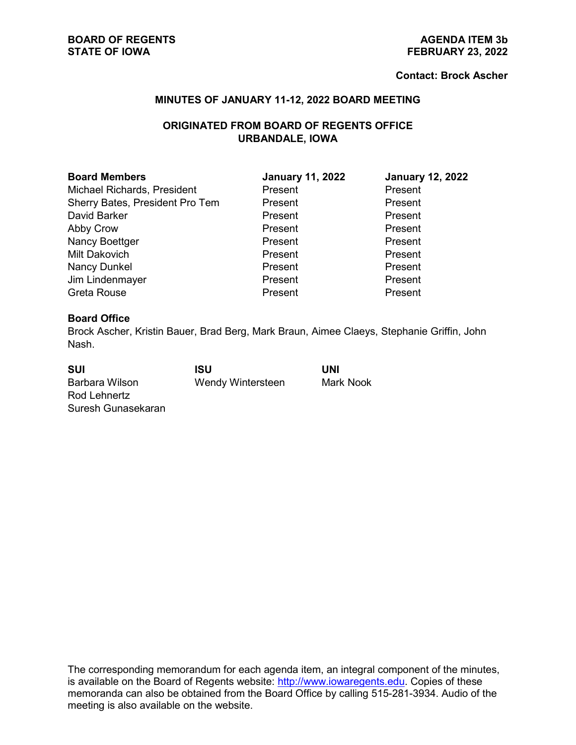#### **Contact: Brock Ascher**

## **MINUTES OF JANUARY 11-12, 2022 BOARD MEETING**

# **ORIGINATED FROM BOARD OF REGENTS OFFICE URBANDALE, IOWA**

| <b>Board Members</b>            | <b>January 11, 2022</b> | <b>January 12, 2022</b> |
|---------------------------------|-------------------------|-------------------------|
| Michael Richards, President     | Present                 | Present                 |
| Sherry Bates, President Pro Tem | Present                 | Present                 |
| David Barker                    | Present                 | Present                 |
| Abby Crow                       | Present                 | Present                 |
| Nancy Boettger                  | Present                 | Present                 |
| Milt Dakovich                   | Present                 | Present                 |
| Nancy Dunkel                    | Present                 | Present                 |
| Jim Lindenmayer                 | Present                 | Present                 |
| Greta Rouse                     | Present                 | Present                 |

### **Board Office**

Brock Ascher, Kristin Bauer, Brad Berg, Mark Braun, Aimee Claeys, Stephanie Griffin, John Nash.

| <b>SUI</b>         | ISU               | UNI       |
|--------------------|-------------------|-----------|
| Barbara Wilson     | Wendy Wintersteen | Mark Nook |
| Rod Lehnertz       |                   |           |
| Suresh Gunasekaran |                   |           |

The corresponding memorandum for each agenda item, an integral component of the minutes, is available on the Board of Regents website: [http://www.iowaregents.edu.](http://www.iowaregents.edu/) Copies of these memoranda can also be obtained from the Board Office by calling 515-281-3934. Audio of the meeting is also available on the website.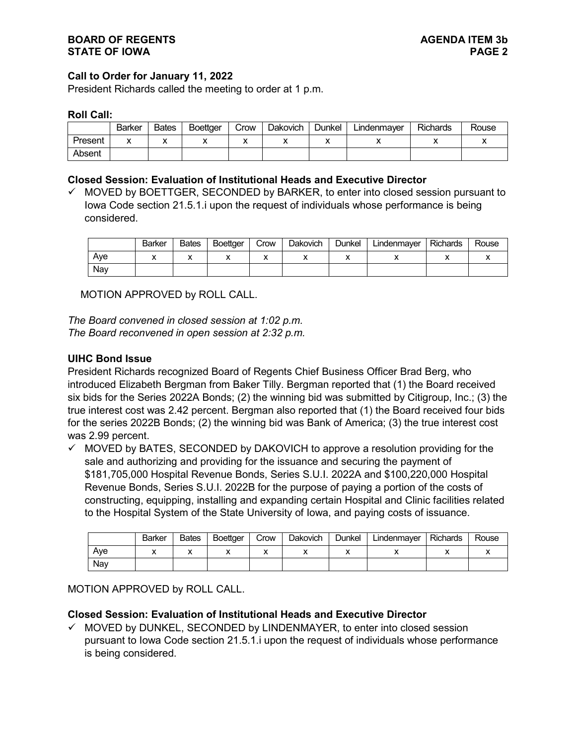## **Call to Order for January 11, 2022**

President Richards called the meeting to order at 1 p.m.

#### **Roll Call:**

|         | Barker    | <b>Bates</b> | <b>Boettaer</b> | Crow | <b>Dakovich</b> | Dunkel | ∟indenmaver | <b>Richards</b> | Rouse |
|---------|-----------|--------------|-----------------|------|-----------------|--------|-------------|-----------------|-------|
| Present | $\lambda$ | ↗            |                 |      |                 | ,,     | ,,          |                 |       |
| Absent  |           |              |                 |      |                 |        |             |                 |       |

### **Closed Session: Evaluation of Institutional Heads and Executive Director**

 $\checkmark$  MOVED by BOETTGER, SECONDED by BARKER, to enter into closed session pursuant to Iowa Code section 21.5.1.i upon the request of individuals whose performance is being considered.

|     | Barker | <b>Bates</b> | <b>Boettaer</b> | Crow | <b>Dakovich</b> | Dunkel | Lindenmayer | <b>Richards</b> | Rouse |
|-----|--------|--------------|-----------------|------|-----------------|--------|-------------|-----------------|-------|
| Ave |        | ́            |                 |      |                 | ↗      |             | "               |       |
| Nav |        |              |                 |      |                 |        |             |                 |       |

MOTION APPROVED by ROLL CALL.

*The Board convened in closed session at 1:02 p.m. The Board reconvened in open session at 2:32 p.m.*

### **UIHC Bond Issue**

President Richards recognized Board of Regents Chief Business Officer Brad Berg, who introduced Elizabeth Bergman from Baker Tilly. Bergman reported that (1) the Board received six bids for the Series 2022A Bonds; (2) the winning bid was submitted by Citigroup, Inc.; (3) the true interest cost was 2.42 percent. Bergman also reported that (1) the Board received four bids for the series 2022B Bonds; (2) the winning bid was Bank of America; (3) the true interest cost was 2.99 percent.

 $\checkmark$  MOVED by BATES, SECONDED by DAKOVICH to approve a resolution providing for the sale and authorizing and providing for the issuance and securing the payment of \$181,705,000 Hospital Revenue Bonds, Series S.U.I. 2022A and \$100,220,000 Hospital Revenue Bonds, Series S.U.I. 2022B for the purpose of paying a portion of the costs of constructing, equipping, installing and expanding certain Hospital and Clinic facilities related to the Hospital System of the State University of Iowa, and paying costs of issuance.

|     | <b>Barker</b> | <b>Bates</b> | <b>Boettaer</b> | Crow | <b>Dakovich</b> | Dunkel | Lindenmayer | <b>Richards</b> | Rouse |
|-----|---------------|--------------|-----------------|------|-----------------|--------|-------------|-----------------|-------|
| Ave |               | "            |                 |      |                 | ,,     |             |                 |       |
| Nav |               |              |                 |      |                 |        |             |                 |       |

MOTION APPROVED by ROLL CALL.

#### **Closed Session: Evaluation of Institutional Heads and Executive Director**

 $\checkmark$  MOVED by DUNKEL, SECONDED by LINDENMAYER, to enter into closed session pursuant to Iowa Code section 21.5.1.i upon the request of individuals whose performance is being considered.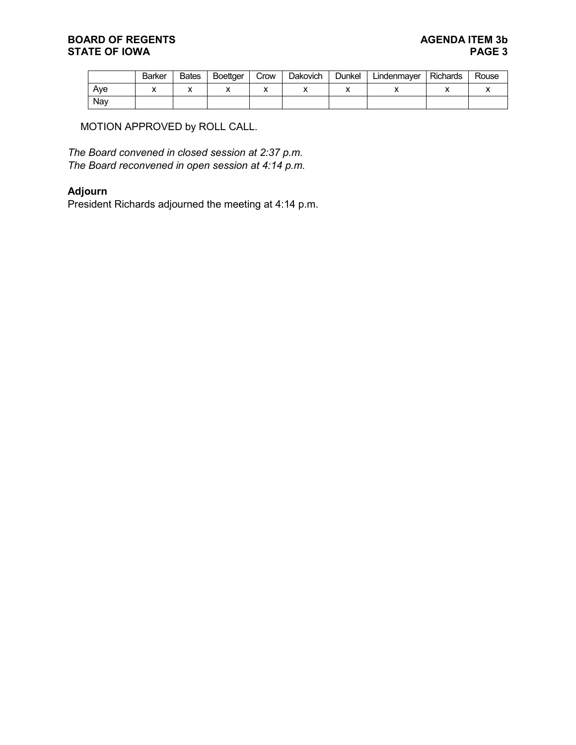## **BOARD OF REGENTS**<br> **BOARD OF REGENTS**<br> **BOARD OF IOWA**<br>
PAGE 3 **STATE OF IOWA**

|     | <b>Barker</b> | <b>Bates</b> | <b>Boettger</b> | Crow | Dakovich | Dunkel | Lindenmaver | <b>Richards</b> | Rouse |
|-----|---------------|--------------|-----------------|------|----------|--------|-------------|-----------------|-------|
| Ave |               | $\lambda$    |                 |      |          |        |             |                 |       |
| Nav |               |              |                 |      |          |        |             |                 |       |

MOTION APPROVED by ROLL CALL.

*The Board convened in closed session at 2:37 p.m. The Board reconvened in open session at 4:14 p.m.*

# **Adjourn**

President Richards adjourned the meeting at 4:14 p.m.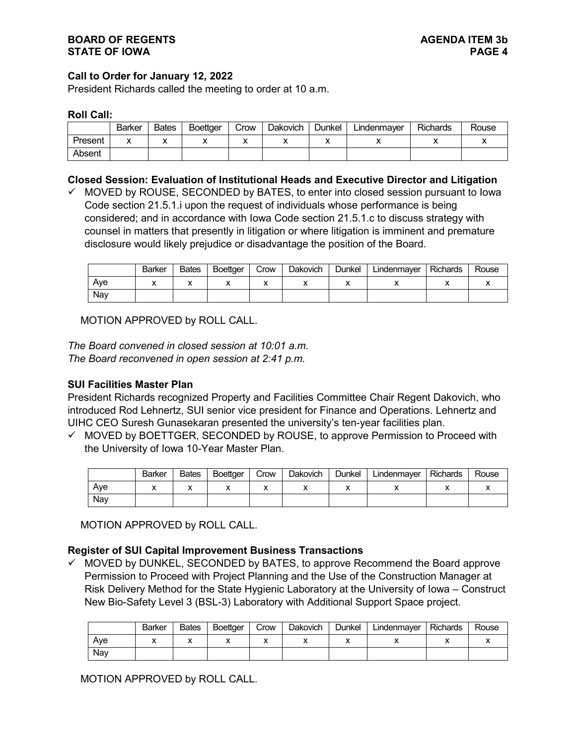## **Call to Order for January 12, 2022**

President Richards called the meeting to order at 10 a.m.

#### **Roll Call:**

|         | <b>Barker</b> | <b>Bates</b> | <b>Boettaer</b> | Crow | <b>Dakovich</b> | Dunkel | ∟indenmaver | Richards | Rouse |
|---------|---------------|--------------|-----------------|------|-----------------|--------|-------------|----------|-------|
| Present | ́             | ,,           |                 |      |                 |        |             |          | ,,    |
| Absent  |               |              |                 |      |                 |        |             |          |       |

### **Closed Session: Evaluation of Institutional Heads and Executive Director and Litigation**

 $\checkmark$  MOVED by ROUSE, SECONDED by BATES, to enter into closed session pursuant to lowa Code section 21.5.1.i upon the request of individuals whose performance is being considered; and in accordance with Iowa Code section 21.5.1.c to discuss strategy with counsel in matters that presently in litigation or where litigation is imminent and premature disclosure would likely prejudice or disadvantage the position of the Board.

|     | <b>Barker</b> | <b>Bates</b> | <b>Boettger</b> | Crow | Dakovich | Dunkel | Lindenmayer | <b>Richards</b> | Rouse |
|-----|---------------|--------------|-----------------|------|----------|--------|-------------|-----------------|-------|
| Ave |               | "            |                 |      |          |        |             |                 |       |
| Nav |               |              |                 |      |          |        |             |                 |       |

MOTION APPROVED by ROLL CALL.

*The Board convened in closed session at 10:01 a.m. The Board reconvened in open session at 2:41 p.m.*

#### **SUI Facilities Master Plan**

President Richards recognized Property and Facilities Committee Chair Regent Dakovich, who introduced Rod Lehnertz, SUI senior vice president for Finance and Operations. Lehnertz and UIHC CEO Suresh Gunasekaran presented the university's ten-year facilities plan.

 $\checkmark$  MOVED by BOETTGER, SECONDED by ROUSE, to approve Permission to Proceed with the University of Iowa 10-Year Master Plan.

|     | Barker | <b>Bates</b> | Boettger | Crow | Dakovich | Dunkel | Lindenmayer | <b>Richards</b> | Rouse |
|-----|--------|--------------|----------|------|----------|--------|-------------|-----------------|-------|
| Ave |        | "            |          |      |          |        |             |                 |       |
| Nav |        |              |          |      |          |        |             |                 |       |

MOTION APPROVED by ROLL CALL.

# **Register of SUI Capital Improvement Business Transactions**

 $\checkmark$  MOVED by DUNKEL, SECONDED by BATES, to approve Recommend the Board approve Permission to Proceed with Project Planning and the Use of the Construction Manager at Risk Delivery Method for the State Hygienic Laboratory at the University of Iowa – Construct New Bio-Safety Level 3 (BSL-3) Laboratory with Additional Support Space project.

|     | Barker | <b>Bates</b> | Boettger | Crow | <b>Dakovich</b> | Dunkel | Lindenmayer | <b>Richards</b> | Rouse |
|-----|--------|--------------|----------|------|-----------------|--------|-------------|-----------------|-------|
| Ave |        | ↗            |          |      |                 |        |             |                 |       |
| Nav |        |              |          |      |                 |        |             |                 |       |

MOTION APPROVED by ROLL CALL.